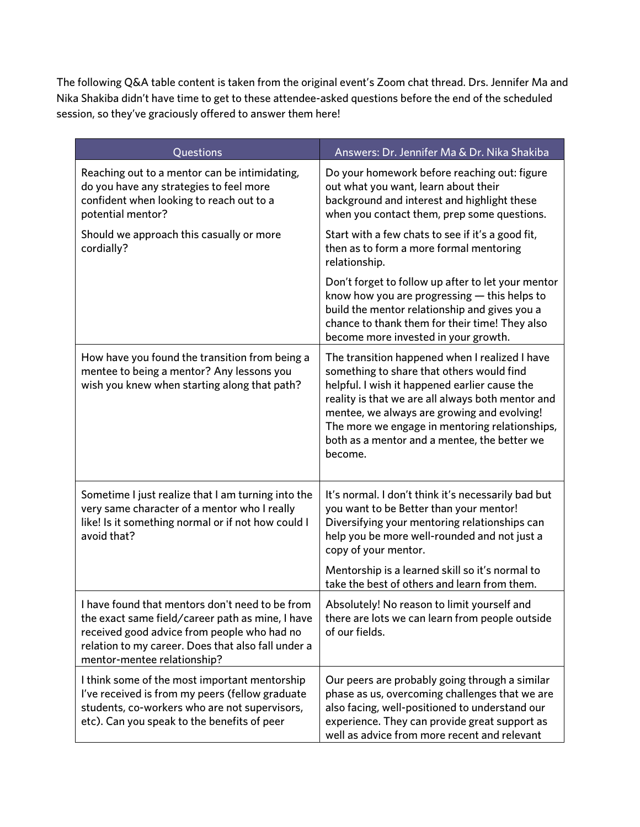The following Q&A table content is taken from the original event's Zoom chat thread. Drs. Jennifer Ma and Nika Shakiba didn't have time to get to these attendee-asked questions before the end of the scheduled session, so they've graciously offered to answer them here!

| Questions                                                                                                                                                                                                                               | Answers: Dr. Jennifer Ma & Dr. Nika Shakiba                                                                                                                                                                                                                                                                                                                   |
|-----------------------------------------------------------------------------------------------------------------------------------------------------------------------------------------------------------------------------------------|---------------------------------------------------------------------------------------------------------------------------------------------------------------------------------------------------------------------------------------------------------------------------------------------------------------------------------------------------------------|
| Reaching out to a mentor can be intimidating,<br>do you have any strategies to feel more<br>confident when looking to reach out to a<br>potential mentor?                                                                               | Do your homework before reaching out: figure<br>out what you want, learn about their<br>background and interest and highlight these<br>when you contact them, prep some questions.                                                                                                                                                                            |
| Should we approach this casually or more<br>cordially?                                                                                                                                                                                  | Start with a few chats to see if it's a good fit,<br>then as to form a more formal mentoring<br>relationship.                                                                                                                                                                                                                                                 |
|                                                                                                                                                                                                                                         | Don't forget to follow up after to let your mentor<br>know how you are progressing $-$ this helps to<br>build the mentor relationship and gives you a<br>chance to thank them for their time! They also<br>become more invested in your growth.                                                                                                               |
| How have you found the transition from being a<br>mentee to being a mentor? Any lessons you<br>wish you knew when starting along that path?                                                                                             | The transition happened when I realized I have<br>something to share that others would find<br>helpful. I wish it happened earlier cause the<br>reality is that we are all always both mentor and<br>mentee, we always are growing and evolving!<br>The more we engage in mentoring relationships,<br>both as a mentor and a mentee, the better we<br>become. |
| Sometime I just realize that I am turning into the<br>very same character of a mentor who I really<br>like! Is it something normal or if not how could I<br>avoid that?                                                                 | It's normal. I don't think it's necessarily bad but<br>you want to be Better than your mentor!<br>Diversifying your mentoring relationships can<br>help you be more well-rounded and not just a<br>copy of your mentor.                                                                                                                                       |
|                                                                                                                                                                                                                                         | Mentorship is a learned skill so it's normal to<br>take the best of others and learn from them.                                                                                                                                                                                                                                                               |
| I have found that mentors don't need to be from<br>the exact same field/career path as mine, I have<br>received good advice from people who had no<br>relation to my career. Does that also fall under a<br>mentor-mentee relationship? | Absolutely! No reason to limit yourself and<br>there are lots we can learn from people outside<br>of our fields.                                                                                                                                                                                                                                              |
| I think some of the most important mentorship<br>I've received is from my peers (fellow graduate<br>students, co-workers who are not supervisors,<br>etc). Can you speak to the benefits of peer                                        | Our peers are probably going through a similar<br>phase as us, overcoming challenges that we are<br>also facing, well-positioned to understand our<br>experience. They can provide great support as<br>well as advice from more recent and relevant                                                                                                           |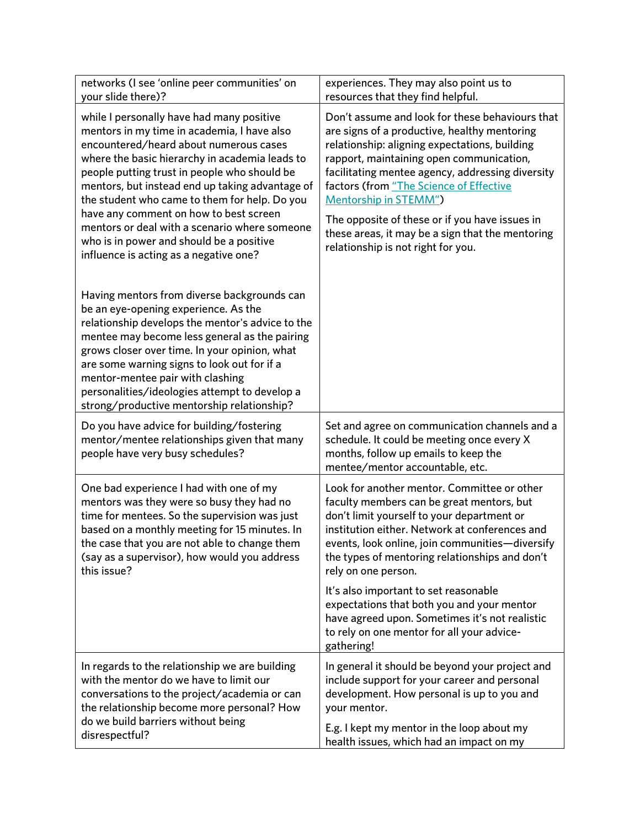| networks (I see 'online peer communities' on<br>your slide there)?                                                                                                                                                                                                                                                                                                                                                                                                                                                        | experiences. They may also point us to<br>resources that they find helpful.                                                                                                                                                                                                                                                                                                                                                                                             |
|---------------------------------------------------------------------------------------------------------------------------------------------------------------------------------------------------------------------------------------------------------------------------------------------------------------------------------------------------------------------------------------------------------------------------------------------------------------------------------------------------------------------------|-------------------------------------------------------------------------------------------------------------------------------------------------------------------------------------------------------------------------------------------------------------------------------------------------------------------------------------------------------------------------------------------------------------------------------------------------------------------------|
| while I personally have had many positive<br>mentors in my time in academia, I have also<br>encountered/heard about numerous cases<br>where the basic hierarchy in academia leads to<br>people putting trust in people who should be<br>mentors, but instead end up taking advantage of<br>the student who came to them for help. Do you<br>have any comment on how to best screen<br>mentors or deal with a scenario where someone<br>who is in power and should be a positive<br>influence is acting as a negative one? | Don't assume and look for these behaviours that<br>are signs of a productive, healthy mentoring<br>relationship: aligning expectations, building<br>rapport, maintaining open communication,<br>facilitating mentee agency, addressing diversity<br>factors (from "The Science of Effective<br><b>Mentorship in STEMM")</b><br>The opposite of these or if you have issues in<br>these areas, it may be a sign that the mentoring<br>relationship is not right for you. |
| Having mentors from diverse backgrounds can<br>be an eye-opening experience. As the<br>relationship develops the mentor's advice to the<br>mentee may become less general as the pairing<br>grows closer over time. In your opinion, what<br>are some warning signs to look out for if a<br>mentor-mentee pair with clashing<br>personalities/ideologies attempt to develop a<br>strong/productive mentorship relationship?                                                                                               |                                                                                                                                                                                                                                                                                                                                                                                                                                                                         |
|                                                                                                                                                                                                                                                                                                                                                                                                                                                                                                                           |                                                                                                                                                                                                                                                                                                                                                                                                                                                                         |
| Do you have advice for building/fostering<br>mentor/mentee relationships given that many<br>people have very busy schedules?                                                                                                                                                                                                                                                                                                                                                                                              | Set and agree on communication channels and a<br>schedule. It could be meeting once every X<br>months, follow up emails to keep the<br>mentee/mentor accountable, etc.                                                                                                                                                                                                                                                                                                  |
| One bad experience I had with one of my<br>mentors was they were so busy they had no<br>time for mentees. So the supervision was just<br>based on a monthly meeting for 15 minutes. In<br>the case that you are not able to change them<br>(say as a supervisor), how would you address<br>this issue?                                                                                                                                                                                                                    | Look for another mentor. Committee or other<br>faculty members can be great mentors, but<br>don't limit yourself to your department or<br>institution either. Network at conferences and<br>events, look online, join communities-diversify<br>the types of mentoring relationships and don't<br>rely on one person.                                                                                                                                                    |
|                                                                                                                                                                                                                                                                                                                                                                                                                                                                                                                           | It's also important to set reasonable<br>expectations that both you and your mentor<br>have agreed upon. Sometimes it's not realistic<br>to rely on one mentor for all your advice-<br>gathering!                                                                                                                                                                                                                                                                       |
| In regards to the relationship we are building<br>with the mentor do we have to limit our<br>conversations to the project/academia or can<br>the relationship become more personal? How<br>do we build barriers without being                                                                                                                                                                                                                                                                                             | In general it should be beyond your project and<br>include support for your career and personal<br>development. How personal is up to you and<br>your mentor.                                                                                                                                                                                                                                                                                                           |